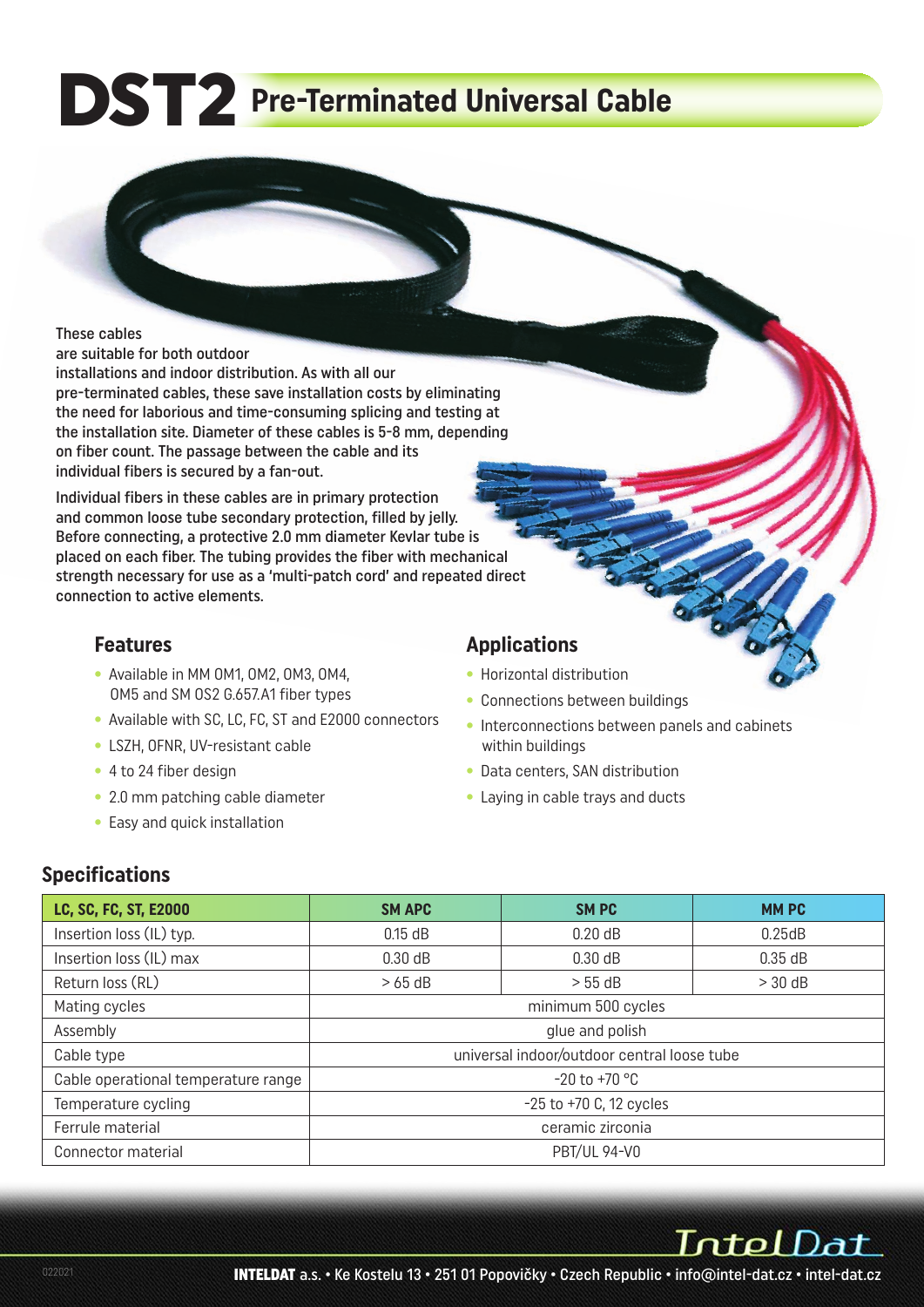# **DST2 Pre-Terminated Universal Cable**

#### These cables

are suitable for both outdoor installations and indoor distribution. As with all our pre-terminated cables, these save installation costs by eliminating the need for laborious and time-consuming splicing and testing at the installation site. Diameter of these cables is 5-8 mm, depending on fiber count. The passage between the cable and its individual fibers is secured by a fan-out.

Individual fibers in these cables are in primary protection and common loose tube secondary protection, filled by jelly. Before connecting, a protective 2.0 mm diameter Kevlar tube is placed on each fiber. The tubing provides the fiber with mechanical strength necessary for use as a 'multi-patch cord' and repeated direct connection to active elements.

#### **Features**

- Available in MM OM1, OM2, OM3, OM4, OM5 and SM OS2 G.657.A1 fiber types
- Available with SC, LC, FC, ST and E2000 connectors
- LSZH, OFNR, UV-resistant cable
- 4 to 24 fiber design
- 2.0 mm patching cable diameter
- Easy and quick installation

## **Applications**

- Horizontal distribution
- Connections between buildings
- Interconnections between panels and cabinets within buildings
- Data centers, SAN distribution
- Laying in cable trays and ducts

#### **Specifications**

| LC, SC, FC, ST, E2000               | <b>SM APC</b>                               | <b>SMPC</b>         | <b>MMPC</b> |  |  |  |  |  |  |
|-------------------------------------|---------------------------------------------|---------------------|-------------|--|--|--|--|--|--|
| Insertion loss (IL) typ.            | $0.15$ dB                                   | $0.20$ dB           | 0.25dB      |  |  |  |  |  |  |
| Insertion loss (IL) max             | 0.30 dB                                     | 0.30 dB             | 0.35 dB     |  |  |  |  |  |  |
| Return loss (RL)                    | $>65$ dB                                    | > 55 dB             | $>$ 30 dB   |  |  |  |  |  |  |
| Mating cycles                       | minimum 500 cycles                          |                     |             |  |  |  |  |  |  |
| Assembly                            | glue and polish                             |                     |             |  |  |  |  |  |  |
| Cable type                          | universal indoor/outdoor central loose tube |                     |             |  |  |  |  |  |  |
| Cable operational temperature range | $-20$ to $+70$ °C                           |                     |             |  |  |  |  |  |  |
| Temperature cycling                 | $-25$ to $+70$ C, 12 cycles                 |                     |             |  |  |  |  |  |  |
| Ferrule material                    | ceramic zirconia                            |                     |             |  |  |  |  |  |  |
| Connector material                  |                                             | <b>PBT/UL 94-V0</b> |             |  |  |  |  |  |  |